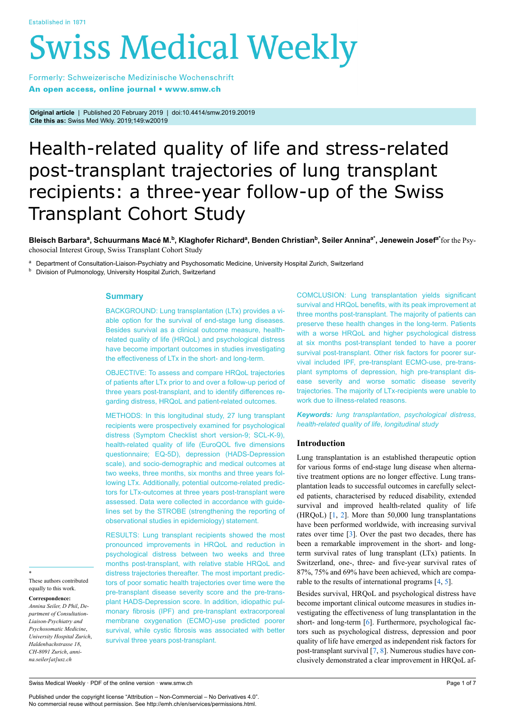# **Swiss Medical Weekly**

Formerly: Schweizerische Medizinische Wochenschrift An open access, online journal • www.smw.ch

**Original article** | Published 20 February 2019 | doi:10.4414/smw.2019.20019 **Cite this as:** Swiss Med Wkly. 2019;149:w20019

# Health-related quality of life and stress-related post-transplant trajectories of lung transplant recipients: a three-year follow-up of the Swiss Transplant Cohort Study

Bleisch Barbaraª, Schuurmans Macé M.<sup>b</sup>, Klaghofer Richardª, Benden Christian<sup>b</sup>, Seiler Annina<sup>a∗</sup>, Jenewein Josef<sup>a∗</sup>for the Psychosocial Interest Group, Swiss Transplant Cohort Study

<sup>a</sup> Department of Consultation-Liaison-Psychiatry and Psychosomatic Medicine, University Hospital Zurich, Switzerland

**b** Division of Pulmonology, University Hospital Zurich, Switzerland

# **Summary**

BACKGROUND: Lung transplantation (LTx) provides a viable option for the survival of end-stage lung diseases. Besides survival as a clinical outcome measure, healthrelated quality of life (HRQoL) and psychological distress have become important outcomes in studies investigating the effectiveness of LTx in the short- and long-term.

OBJECTIVE: To assess and compare HRQoL trajectories of patients after LTx prior to and over a follow-up period of three years post-transplant, and to identify differences regarding distress, HRQoL and patient-related outcomes.

METHODS: In this longitudinal study, 27 lung transplant recipients were prospectively examined for psychological distress (Symptom Checklist short version-9; SCL-K-9), health-related quality of life (EuroQOL five dimensions questionnaire; EQ-5D), depression (HADS-Depression scale), and socio-demographic and medical outcomes at two weeks, three months, six months and three years following LTx. Additionally, potential outcome-related predictors for LTx-outcomes at three years post-transplant were assessed. Data were collected in accordance with guidelines set by the STROBE (strengthening the reporting of observational studies in epidemiology) statement.

RESULTS: Lung transplant recipients showed the most pronounced improvements in HRQoL and reduction in psychological distress between two weeks and three months post-transplant, with relative stable HRQoL and distress trajectories thereafter. The most important predictors of poor somatic health trajectories over time were the pre-transplant disease severity score and the pre-transplant HADS-Depression score. In addition, idiopathic pulmonary fibrosis (IPF) and pre-transplant extracorporeal membrane oxygenation (ECMO)-use predicted poorer survival, while cystic fibrosis was associated with better survival three years post-transplant.

COMCLUSION: Lung transplantation yields significant survival and HRQoL benefits, with its peak improvement at three months post-transplant. The majority of patients can preserve these health changes in the long-term. Patients with a worse HRQoL and higher psychological distress at six months post-transplant tended to have a poorer survival post-transplant. Other risk factors for poorer survival included IPF, pre-transplant ECMO-use, pre-transplant symptoms of depression, high pre-transplant disease severity and worse somatic disease severity trajectories. The majority of LTx-recipients were unable to work due to illness-related reasons.

*Keywords: lung transplantation*, *psychological distress*, *health-related quality of life*, *longitudinal study*

# **Introduction**

Lung transplantation is an established therapeutic option for various forms of end-stage lung disease when alternative treatment options are no longer effective. Lung transplantation leads to successful outcomes in carefully selected patients, characterised by reduced disability, extended survival and improved health-related quality of life (HRQoL) [\[1,](#page-5-0) [2](#page-5-1)]. More than 50,000 lung transplantations have been performed worldwide, with increasing survival rates over time [[3](#page-5-2)]. Over the past two decades, there has been a remarkable improvement in the short- and longterm survival rates of lung transplant (LTx) patients. In Switzerland, one-, three- and five-year survival rates of 87%, 75% and 69% have been achieved, which are comparable to the results of international programs [\[4,](#page-5-3) [5\]](#page-5-4).

Besides survival, HRQoL and psychological distress have become important clinical outcome measures in studies investigating the effectiveness of lung transplantation in the short- and long-term [\[6\]](#page-5-5). Furthermore, psychological factors such as psychological distress, depression and poor quality of life have emerged as independent risk factors for post-transplant survival [\[7,](#page-6-0) [8\]](#page-6-1). Numerous studies have conclusively demonstrated a clear improvement in HRQoL af-

\* These authors contributed equally to this work.

**Correspondence:**

*Annina Seiler, D Phil*, *Department of Consultation-Liaison-Psychiatry and Psychosomatic Medicine*, *University Hospital Zurich*, *Haldenbachstrasse 18*, *CH-8091 Zurich*, *annina.seiler[at]usz.ch*

Swiss Medical Weekly · PDF of the online version · www.smw.ch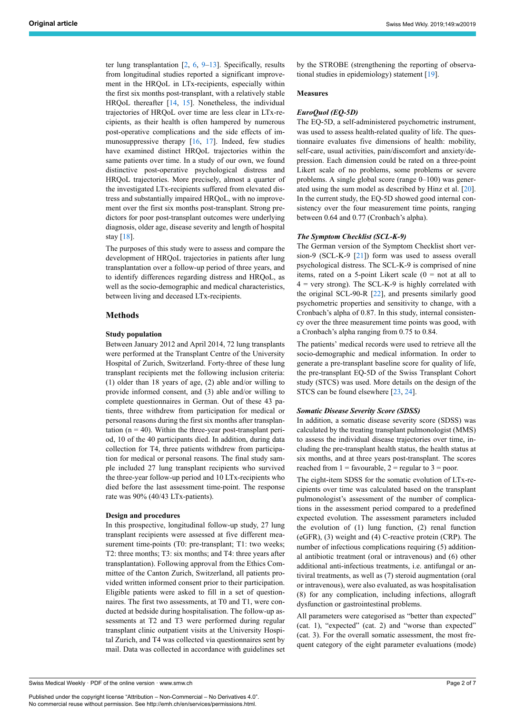ter lung transplantation [\[2,](#page-5-1) [6,](#page-5-5) [9](#page-6-2)–[13\]](#page-6-3). Specifically, results from longitudinal studies reported a significant improvement in the HRQoL in LTx-recipients, especially within the first six months post-transplant, with a relatively stable HRQoL thereafter [[14,](#page-6-4) [15](#page-6-5)]. Nonetheless, the individual trajectories of HRQoL over time are less clear in LTx-recipients, as their health is often hampered by numerous post-operative complications and the side effects of immunosuppressive therapy [[16,](#page-6-6) [17](#page-6-7)]. Indeed, few studies have examined distinct HRQoL trajectories within the same patients over time. In a study of our own, we found distinctive post-operative psychological distress and HRQoL trajectories. More precisely, almost a quarter of the investigated LTx-recipients suffered from elevated distress and substantially impaired HRQoL, with no improvement over the first six months post-transplant. Strong predictors for poor post-transplant outcomes were underlying diagnosis, older age, disease severity and length of hospital stay [\[18](#page-6-8)].

The purposes of this study were to assess and compare the development of HRQoL trajectories in patients after lung transplantation over a follow-up period of three years, and to identify differences regarding distress and HRQoL, as well as the socio-demographic and medical characteristics, between living and deceased LTx-recipients.

# **Methods**

#### **Study population**

Between January 2012 and April 2014, 72 lung transplants were performed at the Transplant Centre of the University Hospital of Zurich, Switzerland. Forty-three of these lung transplant recipients met the following inclusion criteria: (1) older than 18 years of age, (2) able and/or willing to provide informed consent, and (3) able and/or willing to complete questionnaires in German. Out of these 43 patients, three withdrew from participation for medical or personal reasons during the first six months after transplantation  $(n = 40)$ . Within the three-year post-transplant period, 10 of the 40 participants died. In addition, during data collection for T4, three patients withdrew from participation for medical or personal reasons. The final study sample included 27 lung transplant recipients who survived the three-year follow-up period and 10 LTx-recipients who died before the last assessment time-point. The response rate was 90% (40/43 LTx-patients).

#### **Design and procedures**

In this prospective, longitudinal follow-up study, 27 lung transplant recipients were assessed at five different measurement time-points (T0: pre-transplant; T1: two weeks; T2: three months; T3: six months; and T4: three years after transplantation). Following approval from the Ethics Committee of the Canton Zurich, Switzerland, all patients provided written informed consent prior to their participation. Eligible patients were asked to fill in a set of questionnaires. The first two assessments, at T0 and T1, were conducted at bedside during hospitalisation. The follow-up assessments at T2 and T3 were performed during regular transplant clinic outpatient visits at the University Hospital Zurich, and T4 was collected via questionnaires sent by mail. Data was collected in accordance with guidelines set

*EuroQuol (EQ-5D)*

**Measures**

tional studies in epidemiology) statement [[19\]](#page-6-9).

The EQ-5D, a self-administered psychometric instrument, was used to assess health-related quality of life. The questionnaire evaluates five dimensions of health: mobility, self-care, usual activities, pain/discomfort and anxiety/depression. Each dimension could be rated on a three-point Likert scale of no problems, some problems or severe problems. A single global score (range 0–100) was generated using the sum model as described by Hinz et al. [\[20](#page-6-10)]. In the current study, the EQ-5D showed good internal consistency over the four measurement time points, ranging between 0.64 and 0.77 (Cronbach's alpha).

by the STROBE (strengthening the reporting of observa-

# *The Symptom Checklist (SCL-K-9)*

The German version of the Symptom Checklist short version-9 (SCL-K-9 [\[21](#page-6-11)]) form was used to assess overall psychological distress. The SCL-K-9 is comprised of nine items, rated on a 5-point Likert scale  $(0 = not at all to)$  $4$  = very strong). The SCL-K-9 is highly correlated with the original SCL-90-R [\[22](#page-6-0)], and presents similarly good psychometric properties and sensitivity to change, with a Cronbach's alpha of 0.87. In this study, internal consistency over the three measurement time points was good, with a Cronbach's alpha ranging from 0.75 to 0.84.

The patients' medical records were used to retrieve all the socio-demographic and medical information. In order to generate a pre-transplant baseline score for quality of life, the pre-transplant EQ-5D of the Swiss Transplant Cohort study (STCS) was used. More details on the design of the STCS can be found elsewhere [[23,](#page-6-12) [24](#page-6-13)].

# *Somatic Disease Severity Score (SDSS)*

In addition, a somatic disease severity score (SDSS) was calculated by the treating transplant pulmonologist (MMS) to assess the individual disease trajectories over time, including the pre-transplant health status, the health status at six months, and at three years post-transplant. The scores reached from  $1 =$  favourable,  $2 =$  regular to  $3 =$  poor.

The eight-item SDSS for the somatic evolution of LTx-recipients over time was calculated based on the transplant pulmonologist's assessment of the number of complications in the assessment period compared to a predefined expected evolution. The assessment parameters included the evolution of (1) lung function, (2) renal function (eGFR), (3) weight and (4) C-reactive protein (CRP). The number of infectious complications requiring (5) additional antibiotic treatment (oral or intravenous) and (6) other additional anti-infectious treatments, i.e. antifungal or antiviral treatments, as well as (7) steroid augmentation (oral or intravenous), were also evaluated, as was hospitalisation (8) for any complication, including infections, allograft dysfunction or gastrointestinal problems.

All parameters were categorised as "better than expected" (cat. 1), "expected" (cat. 2) and "worse than expected" (cat. 3). For the overall somatic assessment, the most frequent category of the eight parameter evaluations (mode)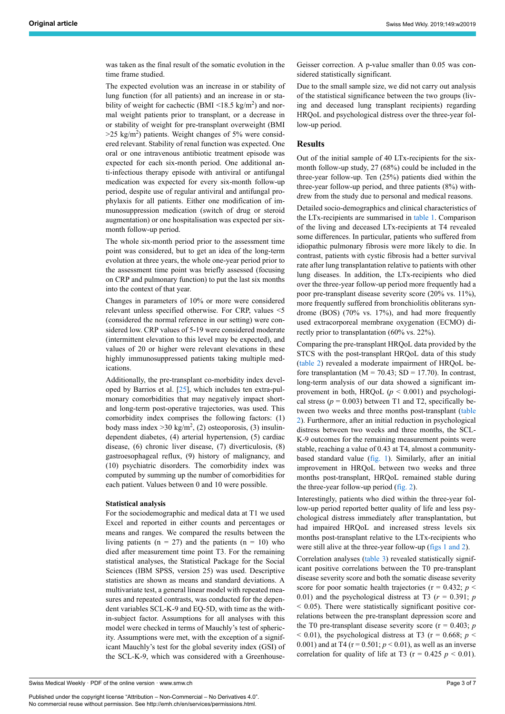was taken as the final result of the somatic evolution in the time frame studied.

The expected evolution was an increase in or stability of lung function (for all patients) and an increase in or stability of weight for cachectic (BMI  $\leq$ 18.5 kg/m<sup>2</sup>) and normal weight patients prior to transplant, or a decrease in or stability of weight for pre-transplant overweight (BMI  $>$ 25 kg/m<sup>2</sup>) patients. Weight changes of 5% were considered relevant. Stability of renal function was expected. One oral or one intravenous antibiotic treatment episode was expected for each six-month period. One additional anti-infectious therapy episode with antiviral or antifungal medication was expected for every six-month follow-up period, despite use of regular antiviral and antifungal prophylaxis for all patients. Either one modification of immunosuppression medication (switch of drug or steroid augmentation) or one hospitalisation was expected per sixmonth follow-up period.

The whole six-month period prior to the assessment time point was considered, but to get an idea of the long-term evolution at three years, the whole one-year period prior to the assessment time point was briefly assessed (focusing on CRP and pulmonary function) to put the last six months into the context of that year.

Changes in parameters of 10% or more were considered relevant unless specified otherwise. For CRP, values <5 (considered the normal reference in our setting) were considered low. CRP values of 5-19 were considered moderate (intermittent elevation to this level may be expected), and values of 20 or higher were relevant elevations in these highly immunosuppressed patients taking multiple medications.

Additionally, the pre-transplant co-morbidity index developed by Barrios et al. [\[25](#page-6-14)], which includes ten extra-pulmonary comorbidities that may negatively impact shortand long-term post-operative trajectories, was used. This comorbidity index comprises the following factors: (1) body mass index  $>$  30 kg/m<sup>2</sup>, (2) osteoporosis, (3) insulindependent diabetes, (4) arterial hypertension, (5) cardiac disease, (6) chronic liver disease, (7) diverticulosis, (8) gastroesophageal reflux, (9) history of malignancy, and (10) psychiatric disorders. The comorbidity index was computed by summing up the number of comorbidities for each patient. Values between 0 and 10 were possible.

#### **Statistical analysis**

For the sociodemographic and medical data at T1 we used Excel and reported in either counts and percentages or means and ranges. We compared the results between the living patients ( $n = 27$ ) and the patients ( $n = 10$ ) who died after measurement time point T3. For the remaining statistical analyses, the Statistical Package for the Social Sciences (IBM SPSS, version 25) was used. Descriptive statistics are shown as means and standard deviations. A multivariate test, a general linear model with repeated measures and repeated contrasts, was conducted for the dependent variables SCL-K-9 and EQ-5D, with time as the within-subject factor. Assumptions for all analyses with this model were checked in terms of Mauchly's test of sphericity. Assumptions were met, with the exception of a significant Mauchly's test for the global severity index (GSI) of the SCL-K-9, which was considered with a Greenhouse-

Swiss Medical Weekly · PDF of the online version · www.smw.ch

Published under the copyright license "Attribution – Non-Commercial – No Derivatives 4.0". No commercial reuse without permission. See http://emh.ch/en/services/permissions.html.

Geisser correction. A p-value smaller than 0.05 was considered statistically significant.

Due to the small sample size, we did not carry out analysis of the statistical significance between the two groups (living and deceased lung transplant recipients) regarding HRQoL and psychological distress over the three-year follow-up period.

# **Results**

Out of the initial sample of 40 LTx-recipients for the sixmonth follow-up study, 27 (68%) could be included in the three-year follow-up. Ten (25%) patients died within the three-year follow-up period, and three patients (8%) withdrew from the study due to personal and medical reasons.

Detailed socio-demographics and clinical characteristics of the LTx-recipients are summarised in [table 1](#page-3-0). Comparison of the living and deceased LTx-recipients at T4 revealed some differences. In particular, patients who suffered from idiopathic pulmonary fibrosis were more likely to die. In contrast, patients with cystic fibrosis had a better survival rate after lung transplantation relative to patients with other lung diseases. In addition, the LTx-recipients who died over the three-year follow-up period more frequently had a poor pre-transplant disease severity score (20% vs. 11%), more frequently suffered from bronchiolitis obliterans syndrome (BOS) (70% vs. 17%), and had more frequently used extracorporeal membrane oxygenation (ECMO) directly prior to transplantation (60% vs. 22%).

Comparing the pre-transplant HRQoL data provided by the STCS with the post-transplant HRQoL data of this study [\(table 2](#page-3-1)) revealed a moderate impairment of HRQoL before transplantation ( $M = 70.43$ ; SD = 17.70). In contrast, long-term analysis of our data showed a significant improvement in both, HRQoL  $(p < 0.001)$  and psychological stress  $(p = 0.003)$  between T1 and T2, specifically between two weeks and three months post-transplant ([table](#page-3-1) [2\)](#page-3-1). Furthermore, after an initial reduction in psychological distress between two weeks and three months, the SCL-K-9 outcomes for the remaining measurement points were stable, reaching a value of 0.43 at T4, almost a communitybased standard value ([fig. 1\)](#page-4-0). Similarly, after an initial improvement in HRQoL between two weeks and three months post-transplant, HRQoL remained stable during the three-year follow-up period ([fig. 2](#page-4-1)).

Interestingly, patients who died within the three-year follow-up period reported better quality of life and less psychological distress immediately after transplantation, but had impaired HRQoL and increased stress levels six months post-transplant relative to the LTx-recipients who were still alive at the three-year follow-up ([figs 1 and 2](#page-4-0)).

Correlation analyses [\(table 3\)](#page-4-2) revealed statistically significant positive correlations between the T0 pre-transplant disease severity score and both the somatic disease severity score for poor somatic health trajectories ( $r = 0.432$ ;  $p <$ 0.01) and the psychological distress at T3 ( $r = 0.391$ ; *p*  $<$  0.05). There were statistically significant positive correlations between the pre-transplant depression score and the T0 pre-transplant disease severity score ( $r = 0.403$ ; *p*  $<$  0.01), the psychological distress at T3 ( $r = 0.668$ ; *p*  $<$ 0.001) and at T4 ( $r = 0.501$ ;  $p < 0.01$ ), as well as an inverse correlation for quality of life at T3 ( $r = 0.425$   $p < 0.01$ ).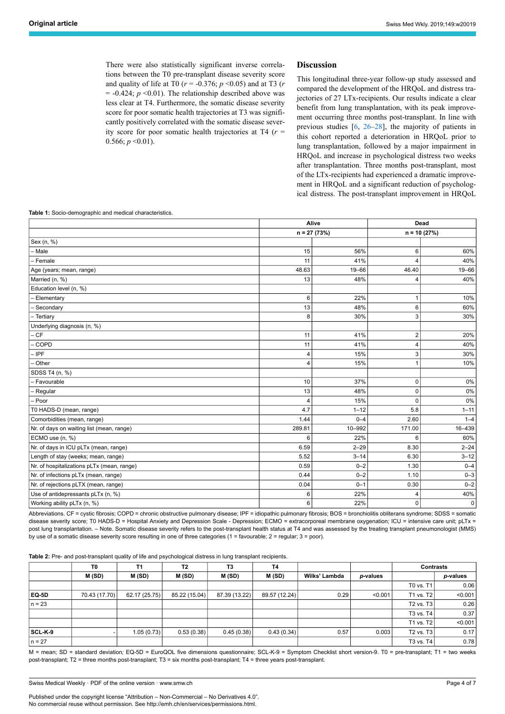There were also statistically significant inverse correlations between the T0 pre-transplant disease severity score and quality of life at T0 (*r* = -0.376; *p* <0.05) and at T3 (*r*  $= -0.424$ ;  $p \le 0.01$ ). The relationship described above was less clear at T4. Furthermore, the somatic disease severity score for poor somatic health trajectories at T3 was significantly positively correlated with the somatic disease severity score for poor somatic health trajectories at T4 (*r* =  $0.566; p \le 0.01$ ).

# **Discussion**

This longitudinal three-year follow-up study assessed and compared the development of the HRQoL and distress trajectories of 27 LTx-recipients. Our results indicate a clear benefit from lung transplantation, with its peak improvement occurring three months post-transplant. In line with previous studies [\[6,](#page-5-5) [26](#page-6-15)–[28\]](#page-6-16), the majority of patients in this cohort reported a deterioration in HRQoL prior to lung transplantation, followed by a major impairment in HRQoL and increase in psychological distress two weeks after transplantation. Three months post-transplant, most of the LTx-recipients had experienced a dramatic improvement in HRQoL and a significant reduction of psychological distress. The post-transplant improvement in HRQoL

<span id="page-3-0"></span>**Table 1:** Socio-demographic and medical characteristics.

|                                            | Alive          |               | Dead     |               |  |
|--------------------------------------------|----------------|---------------|----------|---------------|--|
|                                            |                | $n = 27(73%)$ |          | $n = 10(27%)$ |  |
| Sex (n, %)                                 |                |               |          |               |  |
| - Male                                     | 15             | 56%           | 6        | 60%           |  |
| - Female                                   | 11             | 41%           |          | 40%           |  |
| Age (years; mean, range)                   | 48.63          | $19 - 66$     | 46.40    | 19-66         |  |
| Married (n, %)                             | 13             | 48%           |          | 40%           |  |
| Education level (n, %)                     |                |               |          |               |  |
| - Elementary                               | 6              | 22%           | 1        | 10%           |  |
| - Secondary                                | 13             | 48%           | 6        | 60%           |  |
| - Tertiary                                 | 8              | 30%           | 3        | 30%           |  |
| Underlying diagnosis (n, %)                |                |               |          |               |  |
| $-CF$                                      | 11             | 41%           | 2        | 20%           |  |
| - COPD                                     | 11             | 41%           | 4        | 40%           |  |
| - IPF                                      | $\overline{4}$ | 15%           | 3        | 30%           |  |
| - Other                                    | $\overline{4}$ | 15%           |          | 10%           |  |
| SDSS T4 (n, %)                             |                |               |          |               |  |
| - Favourable                               | 10             | 37%           | 0        | 0%            |  |
| - Regular                                  | 13             | 48%           | 0        | 0%            |  |
| - Poor                                     | 4              | 15%           | $\Omega$ | 0%            |  |
| T0 HADS-D (mean, range)                    | 4.7            | $1 - 12$      | 5.8      | $1 - 11$      |  |
| Comorbidities (mean, range)                | 1.44           | $0 - 4$       | 2.60     | $1 - 4$       |  |
| Nr. of days on waiting list (mean, range)  | 289.81         | 10-992        | 171.00   | 16-439        |  |
| ECMO use (n, %)                            | 6              | 22%           | 6        | 60%           |  |
| Nr. of days in ICU pLTx (mean, range)      | 6.59           | $2 - 29$      | 8.30     | $2 - 24$      |  |
| Length of stay (weeks; mean, range)        | 5.52           | $3 - 14$      | 6.30     | $3 - 12$      |  |
| Nr. of hospitalizations pLTx (mean, range) | 0.59           | $0 - 2$       | 1.30     | $0 - 4$       |  |
| Nr. of infections pLTx (mean, range)       | 0.44           | $0 - 2$       | 1.10     | $0 - 3$       |  |
| Nr. of rejections pLTX (mean, range)       | 0.04           | $0 - 1$       | 0.30     | $0 - 2$       |  |
| Use of antidepressants pLTx (n, %)         | 6              | 22%           | Δ        | 40%           |  |
| Working ability pLTx (n, %)                | 6              | 22%           | 0        | 0             |  |

Abbreviations. CF = cystic fibrosis; COPD = chronic obstructive pulmonary disease; IPF = idiopathic pulmonary fibrosis; BOS = bronchiolitis obliterans syndrome; SDSS = somatic disease severity score; T0 HADS-D = Hospital Anxiety and Depression Scale - Depression; ECMO = extracorporeal membrane oxygenation; ICU = intensive care unit; pLTx = post lung transplantation. - Note. Somatic disease severity refers to the post-transplant health status at T4 and was assessed by the treating transplant pneumonologist (MMS) by use of a somatic disease severity score resulting in one of three categories (1 = favourable; 2 = regular; 3 = poor).

<span id="page-3-1"></span>**Table 2:** Pre- and post-transplant quality of life and psychological distress in lung transplant recipients.

|          | T0            | T1            | T2            | T3            | T4            |               |          | <b>Contrasts</b>        |          |
|----------|---------------|---------------|---------------|---------------|---------------|---------------|----------|-------------------------|----------|
|          | M(SD)         | M(SD)         | M(SD)         | M(SD)         | M(SD)         | Wilks' Lambda | p-values |                         | p-values |
|          |               |               |               |               |               |               |          | T0 vs. T1               | 0.06     |
| EQ-5D    | 70.43 (17.70) | 62.17 (25.75) | 85.22 (15.04) | 87.39 (13.22) | 89.57 (12.24) | 0.29          | < 0.001  | T <sub>1</sub> vs. $T2$ | < 0.001  |
| $n = 23$ |               |               |               |               |               |               |          | T <sub>2</sub> vs. $T3$ | 0.26     |
|          |               |               |               |               |               |               |          | T3 vs. T4               | 0.37     |
|          |               |               |               |               |               |               |          | T1 vs. T2               | < 0.001  |
| SCL-K-9  |               | 1.05(0.73)    | 0.53(0.38)    | 0.45(0.38)    | 0.43(0.34)    | 0.57          | 0.003    | T <sub>2</sub> vs. $T3$ | 0.17     |
| $n = 27$ |               |               |               |               |               |               |          | T <sub>3</sub> vs. $T4$ | 0.78     |

M = mean; SD = standard deviation; EQ-5D = EuroQOL five dimensions questionnaire; SCL-K-9 = Symptom Checklist short version-9. T0 = pre-transplant; T1 = two weeks post-transplant; T2 = three months post-transplant; T3 = six months post-transplant; T4 = three years post-transplant.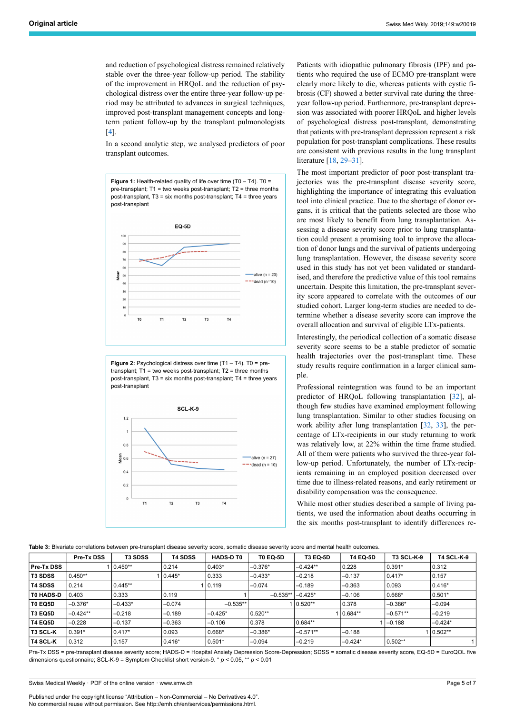and reduction of psychological distress remained relatively stable over the three-year follow-up period. The stability of the improvement in HRQoL and the reduction of psychological distress over the entire three-year follow-up period may be attributed to advances in surgical techniques, improved post-transplant management concepts and longterm patient follow-up by the transplant pulmonologists [[4](#page-5-3)].

In a second analytic step, we analysed predictors of poor transplant outcomes.

<span id="page-4-0"></span>

<span id="page-4-1"></span>**Figure 2:** Psychological distress over time (T1 – T4). T0 = pretransplant; T1 = two weeks post-transplant; T2 = three months post-transplant, T3 = six months post-transplant; T4 = three years post-transplant



Patients with idiopathic pulmonary fibrosis (IPF) and patients who required the use of ECMO pre-transplant were clearly more likely to die, whereas patients with cystic fibrosis (CF) showed a better survival rate during the threeyear follow-up period. Furthermore, pre-transplant depression was associated with poorer HRQoL and higher levels of psychological distress post-transplant, demonstrating that patients with pre-transplant depression represent a risk population for post-transplant complications. These results are consistent with previous results in the lung transplant literature [[18,](#page-6-8) [29](#page-6-17)–[31\]](#page-6-18).

The most important predictor of poor post-transplant trajectories was the pre-transplant disease severity score, highlighting the importance of integrating this evaluation tool into clinical practice. Due to the shortage of donor organs, it is critical that the patients selected are those who are most likely to benefit from lung transplantation. Assessing a disease severity score prior to lung transplantation could present a promising tool to improve the allocation of donor lungs and the survival of patients undergoing lung transplantation. However, the disease severity score used in this study has not yet been validated or standardised, and therefore the predictive value of this tool remains uncertain. Despite this limitation, the pre-transplant severity score appeared to correlate with the outcomes of our studied cohort. Larger long-term studies are needed to determine whether a disease severity score can improve the overall allocation and survival of eligible LTx-patients.

Interestingly, the periodical collection of a somatic disease severity score seems to be a stable predictor of somatic health trajectories over the post-transplant time. These study results require confirmation in a larger clinical sample.

Professional reintegration was found to be an important predictor of HRQoL following transplantation [\[32](#page-6-19)], although few studies have examined employment following lung transplantation. Similar to other studies focusing on work ability after lung transplantation [\[32](#page-6-19), [33](#page-6-20)], the percentage of LTx-recipients in our study returning to work was relatively low, at 22% within the time frame studied. All of them were patients who survived the three-year follow-up period. Unfortunately, the number of LTx-recipients remaining in an employed position decreased over time due to illness-related reasons, and early retirement or disability compensation was the consequence.

While most other studies described a sample of living patients, we used the information about deaths occurring in the six months post-transplant to identify differences re-

<span id="page-4-2"></span>**Table 3:** Bivariate correlations between pre-transplant disease severity score, somatic disease severity score and mental health outcomes.

|                  | Pre-Tx DSS | <b>T3 SDSS</b> | <b>T4 SDSS</b> | <b>HADS-D TO</b> | <b>T0 EQ-5D</b> | <b>T3 EQ-5D</b> | <b>T4 EQ-5D</b> | <b>T3 SCL-K-9</b> | <b>T4 SCL-K-9</b> |
|------------------|------------|----------------|----------------|------------------|-----------------|-----------------|-----------------|-------------------|-------------------|
| Pre-Tx DSS       |            | $10.450**$     | 0.214          | $0.403*$         | $-0.376*$       | $-0.424**$      | 0.228           | $0.391*$          | 0.312             |
| <b>T3 SDSS</b>   | $0.450**$  |                | $0.445*$       | 0.333            | $-0.433*$       | $-0.218$        | $-0.137$        | $0.417*$          | 0.157             |
| <b>T4 SDSS</b>   | 0.214      | $0.445**$      |                | 0.119            | $-0.074$        | $-0.189$        | $-0.363$        | 0.093             | $0.416*$          |
| <b>TO HADS-D</b> | 0.403      | $\vert$ 0.333  | 0.119          |                  | $-0.535**$      | $-0.425*$       | $-0.106$        | 0.668*            | $ 0.501*$         |
| T0 EQ5D          | $-0.376*$  | $-0.433*$      | $-0.074$       | $-0.535**$       |                 | $10.520**$      | 0.378           | $-0.386*$         | $-0.094$          |
| <b>T3 EQ5D</b>   | $-0.424**$ | $-0.218$       | $-0.189$       | $-0.425*$        | $0.520**$       |                 | $10.684**$      | $-0.571**$        | $-0.219$          |
| <b>T4 EQ5D</b>   | $-0.228$   | $-0.137$       | $-0.363$       | $-0.106$         | 0.378           | $0.684**$       |                 | $-0.188$          | $-0.424*$         |
| ∣T3 SCL-K        | $0.391*$   | $0.417*$       | 0.093          | $0.668*$         | $-0.386*$       | $-0.571**$      | $-0.188$        |                   | 0.502**           |
| ∣T4 SCL-K        | 0.312      | 0.157          | $0.416*$       | $0.501*$         | $-0.094$        | $-0.219$        | $-0.424*$       | $0.502**$         |                   |

Pre-Tx DSS = pre-transplant disease severity score; HADS-D = Hospital Anxiety Depression Score-Depression; SDSS = somatic disease severity score, EQ-5D = EuroQOL five dimensions questionnaire; SCL-K-9 = Symptom Checklist short version-9. \* *p* < 0.05, \*\* *p* < 0.01

Swiss Medical Weekly · PDF of the online version · www.smw.ch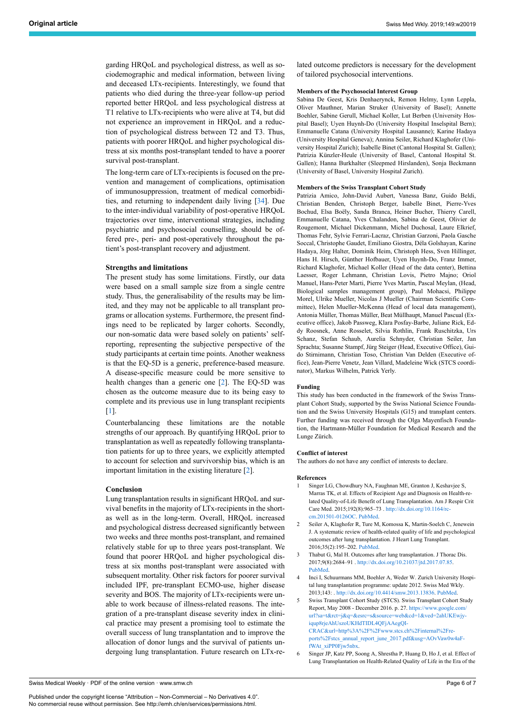garding HRQoL and psychological distress, as well as sociodemographic and medical information, between living and deceased LTx-recipients. Interestingly, we found that patients who died during the three-year follow-up period reported better HRQoL and less psychological distress at T1 relative to LTx-recipients who were alive at T4, but did not experience an improvement in HRQoL and a reduction of psychological distress between T2 and T3. Thus, patients with poorer HRQoL and higher psychological distress at six months post-transplant tended to have a poorer survival post-transplant.

The long-term care of LTx-recipients is focused on the prevention and management of complications, optimisation of immunosuppression, treatment of medical comorbidities, and returning to independent daily living [\[34](#page-6-21)]. Due to the inter-individual variability of post-operative HRQoL trajectories over time, interventional strategies, including psychiatric and psychosocial counselling, should be offered pre-, peri- and post-operatively throughout the patient's post-transplant recovery and adjustment.

#### **Strengths and limitations**

The present study has some limitations. Firstly, our data were based on a small sample size from a single centre study. Thus, the generalisability of the results may be limited, and they may not be applicable to all transplant programs or allocation systems. Furthermore, the present findings need to be replicated by larger cohorts. Secondly, our non-somatic data were based solely on patients' selfreporting, representing the subjective perspective of the study participants at certain time points. Another weakness is that the EQ-5D is a generic, preference-based measure. A disease-specific measure could be more sensitive to health changes than a generic one [[2](#page-5-1)]. The EQ-5D was chosen as the outcome measure due to its being easy to complete and its previous use in lung transplant recipients [[1](#page-5-0)].

Counterbalancing these limitations are the notable strengths of our approach. By quantifying HRQoL prior to transplantation as well as repeatedly following transplantation patients for up to three years, we explicitly attempted to account for selection and survivorship bias, which is an important limitation in the existing literature [\[2\]](#page-5-1).

#### <span id="page-5-0"></span>**Conclusion**

<span id="page-5-5"></span><span id="page-5-4"></span><span id="page-5-3"></span><span id="page-5-2"></span><span id="page-5-1"></span>Lung transplantation results in significant HRQoL and survival benefits in the majority of LTx-recipients in the shortas well as in the long-term. Overall, HRQoL increased and psychological distress decreased significantly between two weeks and three months post-transplant, and remained relatively stable for up to three years post-transplant. We found that poorer HRQoL and higher psychological distress at six months post-transplant were associated with subsequent mortality. Other risk factors for poorer survival included IPF, pre-transplant ECMO-use, higher disease severity and BOS. The majority of LTx-recipients were unable to work because of illness-related reasons. The integration of a pre-transplant disease severity index in clinical practice may present a promising tool to estimate the overall success of lung transplantation and to improve the allocation of donor lungs and the survival of patients undergoing lung transplantation. Future research on LTx-related outcome predictors is necessary for the development of tailored psychosocial interventions.

# **Members of the Psychosocial Interest Group**

Sabina De Geest, Kris Denhaerynck, Remon Helmy, Lynn Leppla, Oliver Mauthner, Marian Struker (University of Basel); Annette Boehler, Sabine Gerull, Michael Koller, Lut Berben (University Hospital Basel); Uyen Huynh-Do (University Hospital Inselspital Bern); Emmanuelle Catana (University Hospital Lausanne); Karine Hadaya (University Hospital Geneva); Annina Seiler, Richard Klaghofer (University Hospital Zurich); Isabelle Binet (Cantonal Hospital St. Gallen); Patrizia Künzler-Heule (University of Basel, Cantonal Hospital St. Gallen); Hanna Burkhalter (Sleepmed Hirslanden), Sonja Beckmann (University of Basel, University Hospital Zurich).

#### **Members of the Swiss Transplant Cohort Study**

Patrizia Amico, John-David Aubert, Vanessa Banz, Guido Beldi, Christian Benden, Christoph Berger, Isabelle Binet, Pierre-Yves Bochud, Elsa Boëly, Sanda Branca, Heiner Bucher, Thierry Carell, Emmanuelle Catana, Yves Chalandon, Sabina de Geest, Olivier de Rougemont, Michael Dickenmann, Michel Duchosal, Laure Elkrief, Thomas Fehr, Sylvie Ferrari-Lacraz, Christian Garzoni, Paola Gasche Soccal, Christophe Gaudet, Emiliano Giostra, Déla Golshayan, Karine Hadaya, Jörg Halter, Dominik Heim, Christoph Hess, Sven Hillinger, Hans H. Hirsch, Günther Hofbauer, Uyen Huynh-Do, Franz Immer, Richard Klaghofer, Michael Koller (Head of the data center), Bettina Laesser, Roger Lehmann, Christian Lovis, Pietro Majno; Oriol Manuel, Hans-Peter Marti, Pierre Yves Martin, Pascal Meylan, (Head, Biological samples management group), Paul Mohacsi, Philippe Morel, Ulrike Mueller, Nicolas J Mueller (Chairman Scientific Committee), Helen Mueller-McKenna (Head of local data management), Antonia Müller, Thomas Müller, Beat Müllhaupt, Manuel Pascual (Executive office), Jakob Passweg, Klara Posfay-Barbe, Juliane Rick, Eddy Roosnek, Anne Rosselet, Silvia Rothlin, Frank Ruschitzka, Urs Schanz, Stefan Schaub, Aurelia Schnyder, Christian Seiler, Jan Sprachta; Susanne Stampf, Jürg Steiger (Head, Executive Office), Guido Stirnimann, Christian Toso, Christian Van Delden (Executive office), Jean-Pierre Venetz, Jean Villard, Madeleine Wick (STCS coordinator), Markus Wilhelm, Patrick Yerly.

#### **Funding**

This study has been conducted in the framework of the Swiss Transplant Cohort Study, supported by the Swiss National Science Foundation and the Swiss University Hospitals (G15) and transplant centers. Further funding was received through the Olga Mayenfisch Foundation, the Hartmann-Müller Foundation for Medical Research and the Lunge Zürich.

#### **Conflict of interest**

The authors do not have any conflict of interests to declare.

### **References**

- 1 Singer LG, Chowdhury NA, Faughnan ME, Granton J, Keshavjee S, Marras TK, et al. Effects of Recipient Age and Diagnosis on Health-related Quality-of-Life Benefit of Lung Transplantation. Am J Respir Crit Care Med. 2015;192(8):965–73 . [http://dx.doi.org/10.1164/rc](http://dx.doi.org/10.1164/rccm.201501-0126OC)[cm.201501-0126OC.](http://dx.doi.org/10.1164/rccm.201501-0126OC) [PubMed.](http://www.ncbi.nlm.nih.gov/entrez/query.fcgi?cmd=Retrieve&db=PubMed&list_uids=26131729&dopt=Abstract)
- 2 Seiler A, Klaghofer R, Ture M, Komossa K, Martin-Soelch C, Jenewein J. A systematic review of health-related quality of life and psychological outcomes after lung transplantation. J Heart Lung Transplant. 2016;35(2):195–202. [PubMed](http://www.ncbi.nlm.nih.gov/entrez/query.fcgi?cmd=Retrieve&db=PubMed&list_uids=26403492&dopt=Abstract).
- 3 Thabut G, Mal H. Outcomes after lung transplantation. J Thorac Dis. 2017;9(8):2684–91 . <http://dx.doi.org/10.21037/jtd.2017.07.85>. [PubMed](http://www.ncbi.nlm.nih.gov/entrez/query.fcgi?cmd=Retrieve&db=PubMed&list_uids=28932576&dopt=Abstract).
- 4 Inci I, Schuurmans MM, Boehler A, Weder W. Zurich University Hospital lung transplantation programme: update 2012. Swiss Med Wkly. 2013;143: . <http://dx.doi.org/10.4414/smw.2013.13836>. [PubMed](http://www.ncbi.nlm.nih.gov/entrez/query.fcgi?cmd=Retrieve&db=PubMed&list_uids=23986418&dopt=Abstract).
- 5 Swiss Transplant Cohort Study (STCS). Swiss Transplant Cohort Study Report, May 2008 - December 2016. p. 27. [https://www.google.com/](https://www.google.com/url?sa=t&rct=j&q=&esrc=s&source=web&cd=1&ved=2ahUKEwjyiqup8rjeAhUszoUKHdTIDL4QFjAAegQICRAC&url=http%3A%2F%2Fwww.stcs.ch%2Finternal%2Freports%2Fstcs_annual_report_june_2017.pdf&usg=AOvVaw0w4aFfWAt_xiPP0Fjw5nbx) [url?sa=t&rct=j&q=&esrc=s&source=web&cd=1&ved=2ahUKEwjy](https://www.google.com/url?sa=t&rct=j&q=&esrc=s&source=web&cd=1&ved=2ahUKEwjyiqup8rjeAhUszoUKHdTIDL4QFjAAegQICRAC&url=http%3A%2F%2Fwww.stcs.ch%2Finternal%2Freports%2Fstcs_annual_report_june_2017.pdf&usg=AOvVaw0w4aFfWAt_xiPP0Fjw5nbx)[iqup8rjeAhUszoUKHdTIDL4QFjAAegQI-](https://www.google.com/url?sa=t&rct=j&q=&esrc=s&source=web&cd=1&ved=2ahUKEwjyiqup8rjeAhUszoUKHdTIDL4QFjAAegQICRAC&url=http%3A%2F%2Fwww.stcs.ch%2Finternal%2Freports%2Fstcs_annual_report_june_2017.pdf&usg=AOvVaw0w4aFfWAt_xiPP0Fjw5nbx)[CRAC&url=http%3A%2F%2Fwww.stcs.ch%2Finternal%2Fre](https://www.google.com/url?sa=t&rct=j&q=&esrc=s&source=web&cd=1&ved=2ahUKEwjyiqup8rjeAhUszoUKHdTIDL4QFjAAegQICRAC&url=http%3A%2F%2Fwww.stcs.ch%2Finternal%2Freports%2Fstcs_annual_report_june_2017.pdf&usg=AOvVaw0w4aFfWAt_xiPP0Fjw5nbx)[ports%2Fstcs\\_annual\\_report\\_june\\_2017.pdf&usg=AOvVaw0w4aF](https://www.google.com/url?sa=t&rct=j&q=&esrc=s&source=web&cd=1&ved=2ahUKEwjyiqup8rjeAhUszoUKHdTIDL4QFjAAegQICRAC&url=http%3A%2F%2Fwww.stcs.ch%2Finternal%2Freports%2Fstcs_annual_report_june_2017.pdf&usg=AOvVaw0w4aFfWAt_xiPP0Fjw5nbx)[fWAt\\_xiPP0Fjw5nbx](https://www.google.com/url?sa=t&rct=j&q=&esrc=s&source=web&cd=1&ved=2ahUKEwjyiqup8rjeAhUszoUKHdTIDL4QFjAAegQICRAC&url=http%3A%2F%2Fwww.stcs.ch%2Finternal%2Freports%2Fstcs_annual_report_june_2017.pdf&usg=AOvVaw0w4aFfWAt_xiPP0Fjw5nbx).
- 6 Singer JP, Katz PP, Soong A, Shrestha P, Huang D, Ho J, et al. Effect of Lung Transplantation on Health-Related Quality of Life in the Era of the